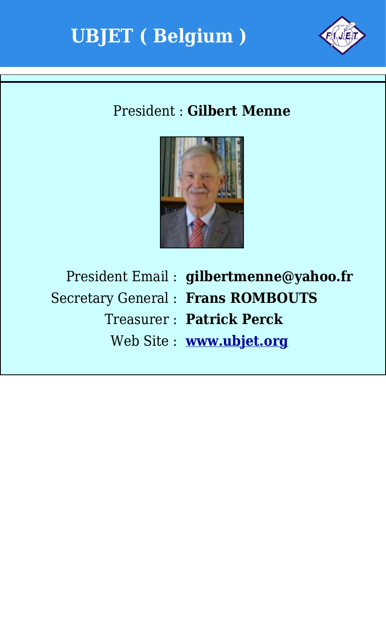



### President : **Gilbert Menne**



President Email : **gilbertmenne@yahoo.fr** Secretary General : **Frans ROMBOUTS** Treasurer : **Patrick Perck** Web Site : **[www.ubjet.org](http://www.ubjet.org)**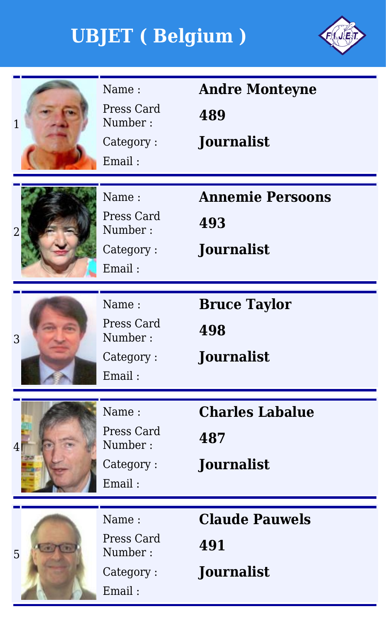

| 1              | Name:<br>Press Card<br>Number:<br>Category:<br>Email: | <b>Andre Monteyne</b><br>489<br><b>Journalist</b>   |
|----------------|-------------------------------------------------------|-----------------------------------------------------|
| $\overline{2}$ | Name:<br>Press Card<br>Number:<br>Category:<br>Email: | <b>Annemie Persoons</b><br>493<br><b>Journalist</b> |
| 3              | Name:<br>Press Card<br>Number:<br>Category:<br>Email: | <b>Bruce Taylor</b><br>498<br><b>Journalist</b>     |
| $\overline{4}$ | Name:<br>Press Card<br>Number:<br>Category:<br>Email: | <b>Charles Labalue</b><br>487<br><b>Journalist</b>  |
| 5              | Name:<br>Press Card<br>Number:<br>Category:<br>Email: | <b>Claude Pauwels</b><br>491<br><b>Journalist</b>   |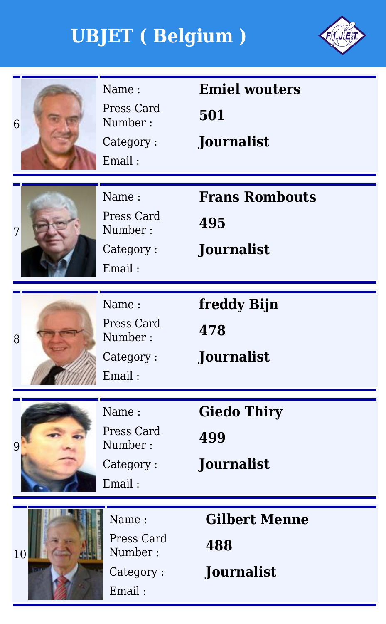

| Name:<br>Press Card<br>Number:<br>6<br>Category:<br>Email:  | <b>Emiel wouters</b><br>501<br>Journalist        |
|-------------------------------------------------------------|--------------------------------------------------|
| Name:<br>Press Card<br>Number:<br>7<br>Category:<br>Email:  | <b>Frans Rombouts</b><br>495<br>Journalist       |
| Name:<br>Press Card<br>Number:<br>8<br>Category:<br>Email:  | freddy Bijn<br>478<br><b>Journalist</b>          |
| Name:<br>Press Card<br>Number:<br>9<br>Category:<br>Email:  | <b>Giedo Thiry</b><br>499<br>Journalist          |
| Name:<br>Press Card<br>Number:<br>10<br>Category:<br>Email: | <b>Gilbert Menne</b><br>488<br><b>Journalist</b> |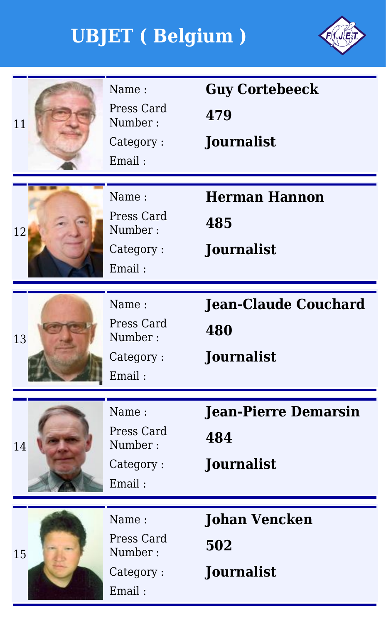

| 11 | Name:<br>Press Card<br>Number:<br>Category:<br>Email: | <b>Guy Cortebeeck</b><br>479<br><b>Journalist</b>       |
|----|-------------------------------------------------------|---------------------------------------------------------|
| 12 | Name:<br>Press Card<br>Number:<br>Category:<br>Email: | <b>Herman Hannon</b><br>485<br>Journalist               |
| 13 | Name:<br>Press Card<br>Number:<br>Category:<br>Email: | <b>Jean-Claude Couchard</b><br>480<br><b>Journalist</b> |
| 14 | Name:<br>Press Card<br>Number:<br>Category:<br>Email: | <b>Jean-Pierre Demarsin</b><br>484<br><b>Journalist</b> |
| 15 | Name:<br>Press Card<br>Number:<br>Category:<br>Email: | <b>Johan Vencken</b><br>502<br><b>Journalist</b>        |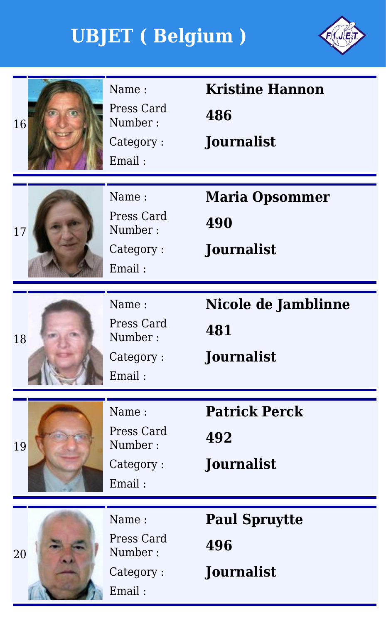

| 16 | Name:<br>Press Card<br>Number:<br>Category:<br>Email: | <b>Kristine Hannon</b><br>486<br><b>Journalist</b> |
|----|-------------------------------------------------------|----------------------------------------------------|
| 17 | Name:<br>Press Card<br>Number:<br>Category:<br>Email: | <b>Maria Opsommer</b><br>490<br>Journalist         |
| 18 | Name:<br>Press Card<br>Number:<br>Category:<br>Email: | Nicole de Jamblinne<br>481<br><b>Journalist</b>    |
| 19 | Name:<br>Press Card<br>Number:<br>Category:<br>Email: | <b>Patrick Perck</b><br>492<br>Journalist          |
| 20 | Name:<br>Press Card<br>Number:<br>Category:<br>Email: | <b>Paul Spruytte</b><br>496<br>Journalist          |